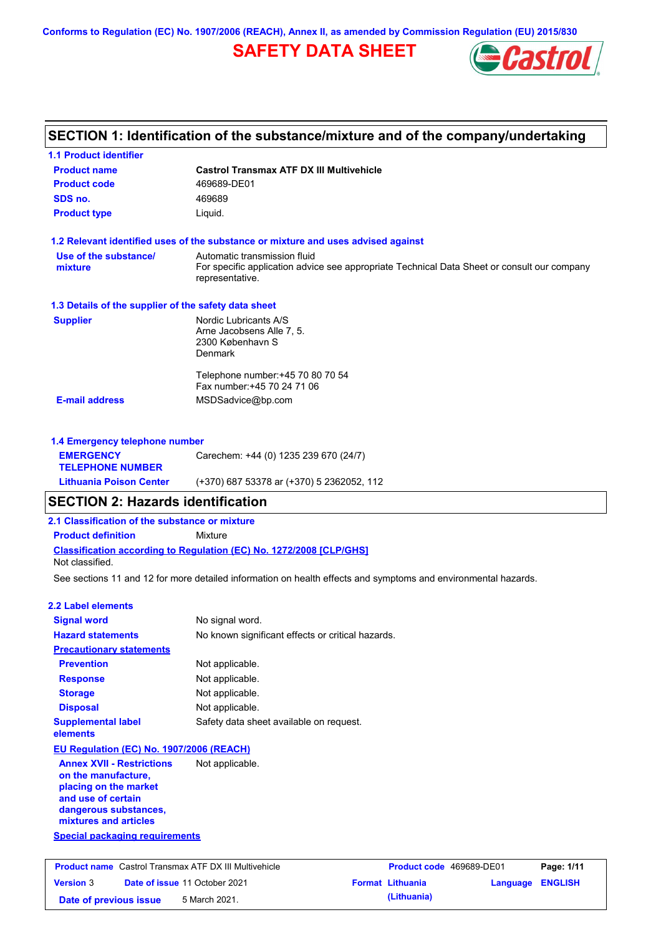**Conforms to Regulation (EC) No. 1907/2006 (REACH), Annex II, as amended by Commission Regulation (EU) 2015/830**

# **SAFETY DATA SHEET**



# **SECTION 1: Identification of the substance/mixture and of the company/undertaking**

| <b>1.1 Product identifier</b>                                                                                                                            |                                                                                                                                                |
|----------------------------------------------------------------------------------------------------------------------------------------------------------|------------------------------------------------------------------------------------------------------------------------------------------------|
| <b>Product name</b>                                                                                                                                      | <b>Castrol Transmax ATF DX III Multivehicle</b>                                                                                                |
| <b>Product code</b>                                                                                                                                      | 469689-DE01                                                                                                                                    |
| SDS no.                                                                                                                                                  | 469689                                                                                                                                         |
| <b>Product type</b>                                                                                                                                      | Liquid.                                                                                                                                        |
|                                                                                                                                                          | 1.2 Relevant identified uses of the substance or mixture and uses advised against                                                              |
| Use of the substance/<br>mixture                                                                                                                         | Automatic transmission fluid<br>For specific application advice see appropriate Technical Data Sheet or consult our company<br>representative. |
| 1.3 Details of the supplier of the safety data sheet                                                                                                     |                                                                                                                                                |
| <b>Supplier</b>                                                                                                                                          | Nordic Lubricants A/S<br>Arne Jacobsens Alle 7, 5.<br>2300 København S<br>Denmark                                                              |
|                                                                                                                                                          | Telephone number: +45 70 80 70 54<br>Fax number: +45 70 24 71 06                                                                               |
| <b>E-mail address</b>                                                                                                                                    | MSDSadvice@bp.com                                                                                                                              |
| 1.4 Emergency telephone number                                                                                                                           |                                                                                                                                                |
| <b>EMERGENCY</b><br><b>TELEPHONE NUMBER</b>                                                                                                              | Carechem: +44 (0) 1235 239 670 (24/7)                                                                                                          |
| <b>Lithuania Poison Center</b>                                                                                                                           | (+370) 687 53378 ar (+370) 5 2362052, 112                                                                                                      |
| <b>SECTION 2: Hazards identification</b>                                                                                                                 |                                                                                                                                                |
| 2.1 Classification of the substance or mixture                                                                                                           |                                                                                                                                                |
| <b>Product definition</b>                                                                                                                                | Mixture                                                                                                                                        |
| Not classified.                                                                                                                                          | Classification according to Regulation (EC) No. 1272/2008 [CLP/GHS]                                                                            |
|                                                                                                                                                          | See sections 11 and 12 for more detailed information on health effects and symptoms and environmental hazards.                                 |
| <b>2.2 Label elements</b>                                                                                                                                |                                                                                                                                                |
| <b>Signal word</b>                                                                                                                                       | No signal word.                                                                                                                                |
| <b>Hazard statements</b>                                                                                                                                 | No known significant effects or critical hazards.                                                                                              |
| <b>Precautionary statements</b>                                                                                                                          |                                                                                                                                                |
| <b>Prevention</b>                                                                                                                                        | Not applicable.                                                                                                                                |
| <b>Response</b>                                                                                                                                          | Not applicable.                                                                                                                                |
| <b>Storage</b>                                                                                                                                           | Not applicable.                                                                                                                                |
| <b>Disposal</b>                                                                                                                                          | Not applicable.                                                                                                                                |
| <b>Supplemental label</b><br>elements                                                                                                                    | Safety data sheet available on request.                                                                                                        |
| EU Regulation (EC) No. 1907/2006 (REACH)                                                                                                                 |                                                                                                                                                |
| <b>Annex XVII - Restrictions</b><br>on the manufacture,<br>placing on the market<br>and use of certain<br>dangerous substances,<br>mixtures and articles | Not applicable.                                                                                                                                |
| <b>Special packaging requirements</b>                                                                                                                    |                                                                                                                                                |
| <b>Broduct name</b> Coetrel Trapemay ATE DV III Multivobiole                                                                                             | <b>Dogo: 4/44</b><br><b>Draduat ande, 100000 DE01</b>                                                                                          |

|                        | <b>Product name</b> Castrol Transmax ATF DX III Multivehicle | <b>Product code</b> 469689-DE01 |                  | Page: 1/11 |
|------------------------|--------------------------------------------------------------|---------------------------------|------------------|------------|
| <b>Version 3</b>       | <b>Date of issue 11 October 2021</b>                         | <b>Format Lithuania</b>         | Language ENGLISH |            |
| Date of previous issue | 5 March 2021.                                                | (Lithuania)                     |                  |            |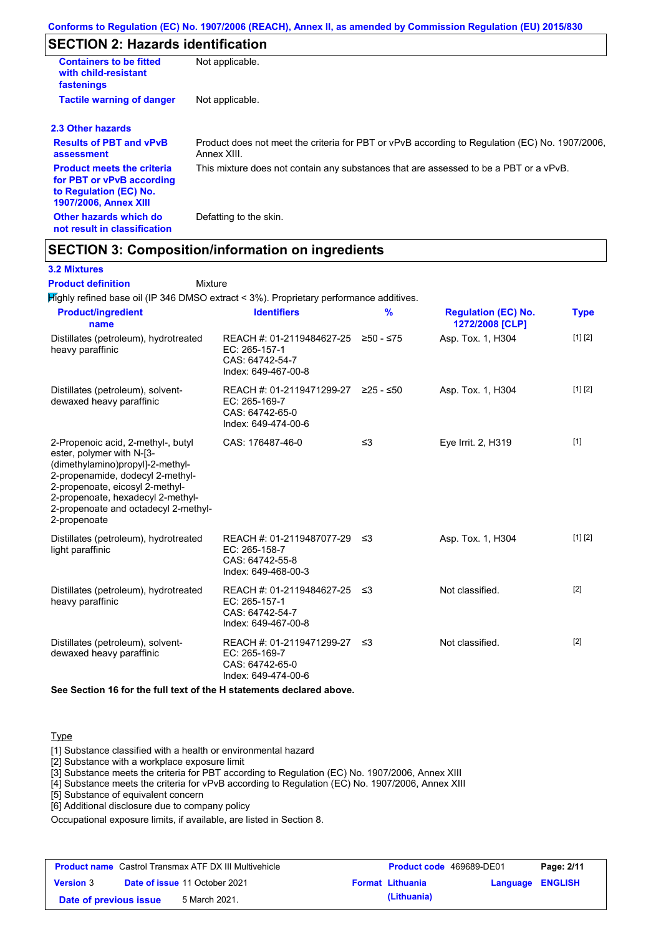### **SECTION 2: Hazards identification**

| <b>Containers to be fitted</b><br>with child-resistant<br>fastenings                                                     | Not applicable.                                                                                               |
|--------------------------------------------------------------------------------------------------------------------------|---------------------------------------------------------------------------------------------------------------|
| <b>Tactile warning of danger</b>                                                                                         | Not applicable.                                                                                               |
| 2.3 Other hazards                                                                                                        |                                                                                                               |
| <b>Results of PBT and vPvB</b><br>assessment                                                                             | Product does not meet the criteria for PBT or vPvB according to Regulation (EC) No. 1907/2006,<br>Annex XIII. |
| <b>Product meets the criteria</b><br>for PBT or vPvB according<br>to Regulation (EC) No.<br><b>1907/2006, Annex XIII</b> | This mixture does not contain any substances that are assessed to be a PBT or a vPvB.                         |
| Other hazards which do<br>not result in classification                                                                   | Defatting to the skin.                                                                                        |

### **SECTION 3: Composition/information on ingredients**

Mixture

### **3.2 Mixtures**

**Product definition**

Highly refined base oil (IP 346 DMSO extract < 3%). Proprietary performance additives.

| <b>Product/ingredient</b><br>name                                                                                                                                                                                                                                       | <b>Identifiers</b>                                                                      | $\frac{9}{6}$ | <b>Regulation (EC) No.</b><br>1272/2008 [CLP] | <b>Type</b> |
|-------------------------------------------------------------------------------------------------------------------------------------------------------------------------------------------------------------------------------------------------------------------------|-----------------------------------------------------------------------------------------|---------------|-----------------------------------------------|-------------|
| Distillates (petroleum), hydrotreated<br>heavy paraffinic                                                                                                                                                                                                               | REACH #: 01-2119484627-25<br>EC: 265-157-1<br>CAS: 64742-54-7<br>Index: 649-467-00-8    | ≥50 - ≤75     | Asp. Tox. 1, H304                             | [1] [2]     |
| Distillates (petroleum), solvent-<br>dewaxed heavy paraffinic                                                                                                                                                                                                           | REACH #: 01-2119471299-27<br>EC: 265-169-7<br>CAS: 64742-65-0<br>Index: 649-474-00-6    | $≥25 - ≤50$   | Asp. Tox. 1, H304                             | [1] [2]     |
| 2-Propenoic acid, 2-methyl-, butyl<br>ester, polymer with N-[3-<br>(dimethylamino)propyl]-2-methyl-<br>2-propenamide, dodecyl 2-methyl-<br>2-propenoate, eicosyl 2-methyl-<br>2-propenoate, hexadecyl 2-methyl-<br>2-propenoate and octadecyl 2-methyl-<br>2-propenoate | CAS: 176487-46-0                                                                        | $\leq$ 3      | Eye Irrit. 2, H319                            | $[1]$       |
| Distillates (petroleum), hydrotreated<br>light paraffinic                                                                                                                                                                                                               | REACH #: 01-2119487077-29 ≤3<br>EC: 265-158-7<br>CAS: 64742-55-8<br>Index: 649-468-00-3 |               | Asp. Tox. 1, H304                             | [1] [2]     |
| Distillates (petroleum), hydrotreated<br>heavy paraffinic                                                                                                                                                                                                               | REACH #: 01-2119484627-25 ≤3<br>EC: 265-157-1<br>CAS: 64742-54-7<br>Index: 649-467-00-8 |               | Not classified.                               | $[2]$       |
| Distillates (petroleum), solvent-<br>dewaxed heavy paraffinic                                                                                                                                                                                                           | REACH #: 01-2119471299-27<br>EC: 265-169-7<br>CAS: 64742-65-0<br>Index: 649-474-00-6    | -≤3           | Not classified.                               | $[2]$       |

**See Section 16 for the full text of the H statements declared above.**

### Type

[1] Substance classified with a health or environmental hazard

[2] Substance with a workplace exposure limit

[3] Substance meets the criteria for PBT according to Regulation (EC) No. 1907/2006, Annex XIII

[4] Substance meets the criteria for vPvB according to Regulation (EC) No. 1907/2006, Annex XIII

[5] Substance of equivalent concern

[6] Additional disclosure due to company policy

Occupational exposure limits, if available, are listed in Section 8.

|                        | <b>Product name</b> Castrol Transmax ATF DX III Multivehicle | <b>Product code</b> 469689-DE01 |                         | Page: 2/11 |
|------------------------|--------------------------------------------------------------|---------------------------------|-------------------------|------------|
| <b>Version 3</b>       | <b>Date of issue 11 October 2021</b>                         | <b>Format Lithuania</b>         | <b>Language ENGLISH</b> |            |
| Date of previous issue | 5 March 2021.                                                | (Lithuania)                     |                         |            |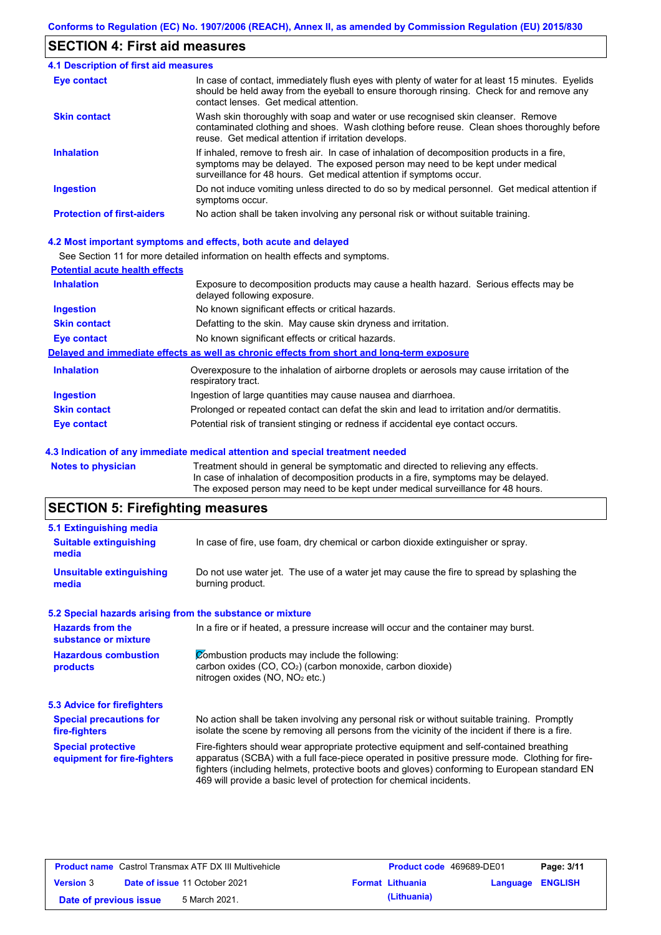### **SECTION 4: First aid measures**

| <b>4.1 Description of first aid measures</b> |                                                                                                                                                                                                                                                     |
|----------------------------------------------|-----------------------------------------------------------------------------------------------------------------------------------------------------------------------------------------------------------------------------------------------------|
| Eye contact                                  | In case of contact, immediately flush eyes with plenty of water for at least 15 minutes. Eyelids<br>should be held away from the eyeball to ensure thorough rinsing. Check for and remove any<br>contact lenses. Get medical attention.             |
| <b>Skin contact</b>                          | Wash skin thoroughly with soap and water or use recognised skin cleanser. Remove<br>contaminated clothing and shoes. Wash clothing before reuse. Clean shoes thoroughly before<br>reuse. Get medical attention if irritation develops.              |
| <b>Inhalation</b>                            | If inhaled, remove to fresh air. In case of inhalation of decomposition products in a fire,<br>symptoms may be delayed. The exposed person may need to be kept under medical<br>surveillance for 48 hours. Get medical attention if symptoms occur. |
| <b>Ingestion</b>                             | Do not induce vomiting unless directed to do so by medical personnel. Get medical attention if<br>symptoms occur.                                                                                                                                   |
| <b>Protection of first-aiders</b>            | No action shall be taken involving any personal risk or without suitable training.                                                                                                                                                                  |

#### **4.2 Most important symptoms and effects, both acute and delayed**

See Section 11 for more detailed information on health effects and symptoms.

| <b>Potential acute health effects</b> |                                                                                                                     |
|---------------------------------------|---------------------------------------------------------------------------------------------------------------------|
| <b>Inhalation</b>                     | Exposure to decomposition products may cause a health hazard. Serious effects may be<br>delayed following exposure. |
| <b>Ingestion</b>                      | No known significant effects or critical hazards.                                                                   |
| <b>Skin contact</b>                   | Defatting to the skin. May cause skin dryness and irritation.                                                       |
| Eye contact                           | No known significant effects or critical hazards.                                                                   |
|                                       | Delayed and immediate effects as well as chronic effects from short and long-term exposure                          |
| <b>Inhalation</b>                     | Overexposure to the inhalation of airborne droplets or aerosols may cause irritation of the<br>respiratory tract.   |
| <b>Ingestion</b>                      | Ingestion of large quantities may cause nausea and diarrhoea.                                                       |
| <b>Skin contact</b>                   | Prolonged or repeated contact can defat the skin and lead to irritation and/or dermatitis.                          |
| Eye contact                           | Potential risk of transient stinging or redness if accidental eye contact occurs.                                   |
|                                       |                                                                                                                     |

#### **4.3 Indication of any immediate medical attention and special treatment needed**

**Notes to physician** Treatment should in general be symptomatic and directed to relieving any effects. In case of inhalation of decomposition products in a fire, symptoms may be delayed. The exposed person may need to be kept under medical surveillance for 48 hours.

# **SECTION 5: Firefighting measures**

| 5.1 Extinguishing media                                   |                                                                                                                                                                                                                                                                                                                                                                   |
|-----------------------------------------------------------|-------------------------------------------------------------------------------------------------------------------------------------------------------------------------------------------------------------------------------------------------------------------------------------------------------------------------------------------------------------------|
| <b>Suitable extinguishing</b><br>media                    | In case of fire, use foam, dry chemical or carbon dioxide extinguisher or spray.                                                                                                                                                                                                                                                                                  |
| <b>Unsuitable extinguishing</b><br>media                  | Do not use water jet. The use of a water jet may cause the fire to spread by splashing the<br>burning product.                                                                                                                                                                                                                                                    |
| 5.2 Special hazards arising from the substance or mixture |                                                                                                                                                                                                                                                                                                                                                                   |
| <b>Hazards from the</b><br>substance or mixture           | In a fire or if heated, a pressure increase will occur and the container may burst.                                                                                                                                                                                                                                                                               |
| <b>Hazardous combustion</b><br>products                   | Combustion products may include the following:<br>carbon oxides $(CO, CO2)$ (carbon monoxide, carbon dioxide)<br>nitrogen oxides $(NO, NO2 etc.)$                                                                                                                                                                                                                 |
| 5.3 Advice for firefighters                               |                                                                                                                                                                                                                                                                                                                                                                   |
| <b>Special precautions for</b><br>fire-fighters           | No action shall be taken involving any personal risk or without suitable training. Promptly<br>isolate the scene by removing all persons from the vicinity of the incident if there is a fire.                                                                                                                                                                    |
| <b>Special protective</b><br>equipment for fire-fighters  | Fire-fighters should wear appropriate protective equipment and self-contained breathing<br>apparatus (SCBA) with a full face-piece operated in positive pressure mode. Clothing for fire-<br>fighters (including helmets, protective boots and gloves) conforming to European standard EN<br>469 will provide a basic level of protection for chemical incidents. |

|                        | <b>Product name</b> Castrol Transmax ATF DX III Multivehicle | <b>Product code</b> 469689-DE01 |                         | Page: 3/11 |
|------------------------|--------------------------------------------------------------|---------------------------------|-------------------------|------------|
| <b>Version 3</b>       | <b>Date of issue 11 October 2021</b>                         | <b>Format Lithuania</b>         | <b>Language ENGLISH</b> |            |
| Date of previous issue | 5 March 2021.                                                | (Lithuania)                     |                         |            |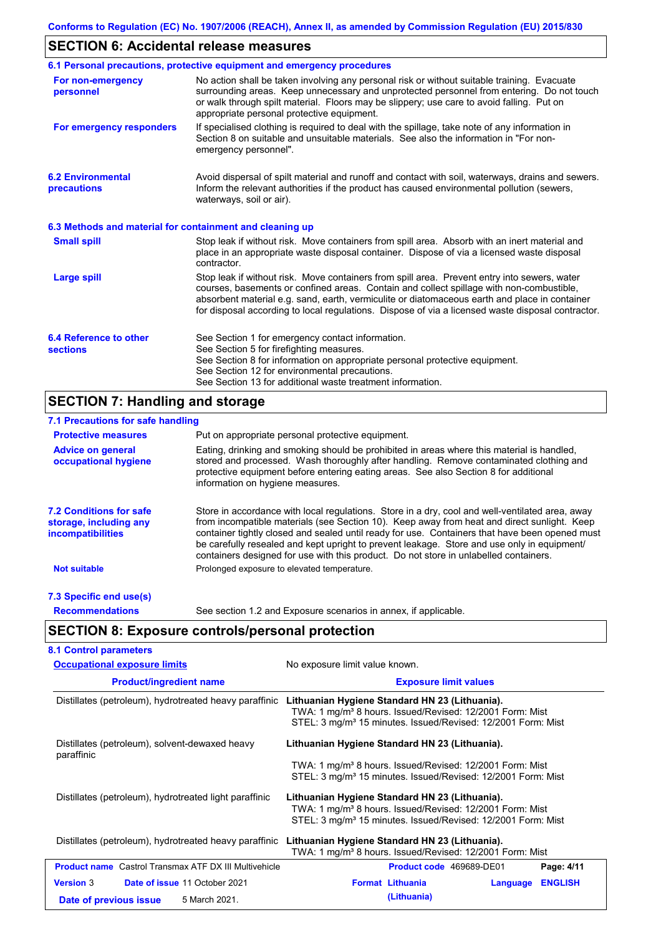# **SECTION 6: Accidental release measures**

|                                                          | 6.1 Personal precautions, protective equipment and emergency procedures                                                                                                                                                                                                                                                                                                                        |
|----------------------------------------------------------|------------------------------------------------------------------------------------------------------------------------------------------------------------------------------------------------------------------------------------------------------------------------------------------------------------------------------------------------------------------------------------------------|
| For non-emergency<br>personnel                           | No action shall be taken involving any personal risk or without suitable training. Evacuate<br>surrounding areas. Keep unnecessary and unprotected personnel from entering. Do not touch<br>or walk through spilt material. Floors may be slippery; use care to avoid falling. Put on<br>appropriate personal protective equipment.                                                            |
| For emergency responders                                 | If specialised clothing is required to deal with the spillage, take note of any information in<br>Section 8 on suitable and unsuitable materials. See also the information in "For non-<br>emergency personnel".                                                                                                                                                                               |
| <b>6.2 Environmental</b><br>precautions                  | Avoid dispersal of spilt material and runoff and contact with soil, waterways, drains and sewers.<br>Inform the relevant authorities if the product has caused environmental pollution (sewers,<br>waterways, soil or air).                                                                                                                                                                    |
| 6.3 Methods and material for containment and cleaning up |                                                                                                                                                                                                                                                                                                                                                                                                |
| <b>Small spill</b>                                       | Stop leak if without risk. Move containers from spill area. Absorb with an inert material and<br>place in an appropriate waste disposal container. Dispose of via a licensed waste disposal<br>contractor.                                                                                                                                                                                     |
| <b>Large spill</b>                                       | Stop leak if without risk. Move containers from spill area. Prevent entry into sewers, water<br>courses, basements or confined areas. Contain and collect spillage with non-combustible,<br>absorbent material e.g. sand, earth, vermiculite or diatomaceous earth and place in container<br>for disposal according to local regulations. Dispose of via a licensed waste disposal contractor. |
| 6.4 Reference to other<br><b>sections</b>                | See Section 1 for emergency contact information.<br>See Section 5 for firefighting measures.<br>See Section 8 for information on appropriate personal protective equipment.<br>See Section 12 for environmental precautions.<br>See Section 13 for additional waste treatment information.                                                                                                     |

# **SECTION 7: Handling and storage**

| 7.1 Precautions for safe handling                                                    |                                                                                                                                                                                                                                                                                                                                                                                                                                                                                          |
|--------------------------------------------------------------------------------------|------------------------------------------------------------------------------------------------------------------------------------------------------------------------------------------------------------------------------------------------------------------------------------------------------------------------------------------------------------------------------------------------------------------------------------------------------------------------------------------|
| <b>Protective measures</b>                                                           | Put on appropriate personal protective equipment.                                                                                                                                                                                                                                                                                                                                                                                                                                        |
| <b>Advice on general</b><br>occupational hygiene                                     | Eating, drinking and smoking should be prohibited in areas where this material is handled,<br>stored and processed. Wash thoroughly after handling. Remove contaminated clothing and<br>protective equipment before entering eating areas. See also Section 8 for additional<br>information on hygiene measures.                                                                                                                                                                         |
| <b>7.2 Conditions for safe</b><br>storage, including any<br><i>incompatibilities</i> | Store in accordance with local regulations. Store in a dry, cool and well-ventilated area, away<br>from incompatible materials (see Section 10). Keep away from heat and direct sunlight. Keep<br>container tightly closed and sealed until ready for use. Containers that have been opened must<br>be carefully resealed and kept upright to prevent leakage. Store and use only in equipment/<br>containers designed for use with this product. Do not store in unlabelled containers. |
| <b>Not suitable</b>                                                                  | Prolonged exposure to elevated temperature.                                                                                                                                                                                                                                                                                                                                                                                                                                              |
| 7.3 Specific end use(s)                                                              |                                                                                                                                                                                                                                                                                                                                                                                                                                                                                          |
| <b>Recommendations</b>                                                               | See section 1.2 and Exposure scenarios in annex, if applicable.                                                                                                                                                                                                                                                                                                                                                                                                                          |
|                                                                                      | <b>SECTION 8: Exposure controls/personal protection</b>                                                                                                                                                                                                                                                                                                                                                                                                                                  |
| <b>8.1 Control parameters</b>                                                        |                                                                                                                                                                                                                                                                                                                                                                                                                                                                                          |

| <b>Occupational exposure limits</b>                          | No exposure limit value known.                                                                                                                                                                     |
|--------------------------------------------------------------|----------------------------------------------------------------------------------------------------------------------------------------------------------------------------------------------------|
| <b>Product/ingredient name</b>                               | <b>Exposure limit values</b>                                                                                                                                                                       |
| Distillates (petroleum), hydrotreated heavy paraffinic       | Lithuanian Hygiene Standard HN 23 (Lithuania).<br>TWA: 1 mg/m <sup>3</sup> 8 hours. Issued/Revised: 12/2001 Form: Mist<br>STEL: 3 mg/m <sup>3</sup> 15 minutes. Issued/Revised: 12/2001 Form: Mist |
| Distillates (petroleum), solvent-dewaxed heavy<br>paraffinic | Lithuanian Hygiene Standard HN 23 (Lithuania).                                                                                                                                                     |
|                                                              | TWA: 1 mg/m <sup>3</sup> 8 hours. Issued/Revised: 12/2001 Form: Mist<br>STEL: 3 mg/m <sup>3</sup> 15 minutes. Issued/Revised: 12/2001 Form: Mist                                                   |
| Distillates (petroleum), hydrotreated light paraffinic       | Lithuanian Hygiene Standard HN 23 (Lithuania).<br>TWA: 1 mg/m <sup>3</sup> 8 hours. Issued/Revised: 12/2001 Form: Mist<br>STEL: 3 mg/m <sup>3</sup> 15 minutes. Issued/Revised: 12/2001 Form: Mist |
| Distillates (petroleum), hydrotreated heavy paraffinic       | Lithuanian Hygiene Standard HN 23 (Lithuania).<br>TWA: 1 mg/m <sup>3</sup> 8 hours. Issued/Revised: 12/2001 Form: Mist                                                                             |
| <b>Product name</b> Castrol Transmax ATF DX III Multivehicle | Product code 469689-DE01<br>Page: 4/11                                                                                                                                                             |
| <b>Version 3</b><br><b>Date of issue 11 October 2021</b>     | <b>Format Lithuania</b><br><b>ENGLISH</b><br>Language                                                                                                                                              |
| 5 March 2021.<br>Date of previous issue                      | (Lithuania)                                                                                                                                                                                        |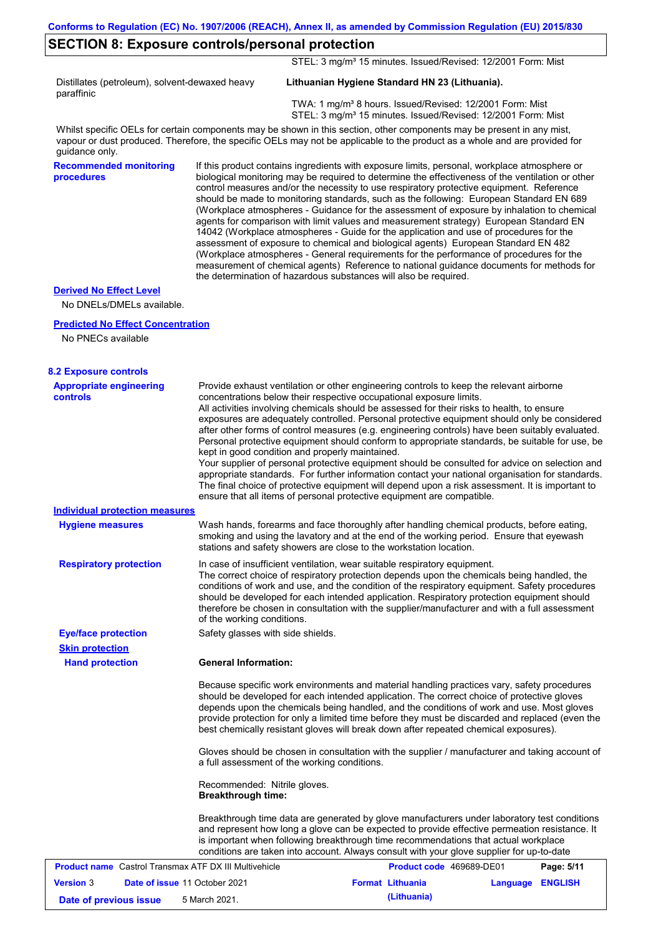### **SECTION 8: Exposure controls/personal protection**

STEL: 3 mg/m<sup>3</sup> 15 minutes. Issued/Revised: 12/2001 Form: Mist

Distillates (petroleum), solvent-dewaxed heavy paraffinic

### **Lithuanian Hygiene Standard HN 23 (Lithuania).**

 TWA: 1 mg/m³ 8 hours. Issued/Revised: 12/2001 Form: Mist STEL: 3 mg/m<sup>3</sup> 15 minutes. Issued/Revised: 12/2001 Form: Mist

Whilst specific OELs for certain components may be shown in this section, other components may be present in any mist, vapour or dust produced. Therefore, the specific OELs may not be applicable to the product as a whole and are provided for guidance only.

**Recommended monitoring procedures**

If this product contains ingredients with exposure limits, personal, workplace atmosphere or biological monitoring may be required to determine the effectiveness of the ventilation or other control measures and/or the necessity to use respiratory protective equipment. Reference should be made to monitoring standards, such as the following: European Standard EN 689 (Workplace atmospheres - Guidance for the assessment of exposure by inhalation to chemical agents for comparison with limit values and measurement strategy) European Standard EN 14042 (Workplace atmospheres - Guide for the application and use of procedures for the assessment of exposure to chemical and biological agents) European Standard EN 482 (Workplace atmospheres - General requirements for the performance of procedures for the measurement of chemical agents) Reference to national guidance documents for methods for the determination of hazardous substances will also be required.

#### **Derived No Effect Level**

No DNELs/DMELs available.

#### **Predicted No Effect Concentration**

No PNECs available

| <b>8.2 Exposure controls</b>                                 |                                                                                                                                                                                                                                                                                                                                                                                                                                                                                                                                                                                                                                                                                                                                                                                                                                                                                                                                                                                                         |                          |          |                |
|--------------------------------------------------------------|---------------------------------------------------------------------------------------------------------------------------------------------------------------------------------------------------------------------------------------------------------------------------------------------------------------------------------------------------------------------------------------------------------------------------------------------------------------------------------------------------------------------------------------------------------------------------------------------------------------------------------------------------------------------------------------------------------------------------------------------------------------------------------------------------------------------------------------------------------------------------------------------------------------------------------------------------------------------------------------------------------|--------------------------|----------|----------------|
| <b>Appropriate engineering</b><br><b>controls</b>            | Provide exhaust ventilation or other engineering controls to keep the relevant airborne<br>concentrations below their respective occupational exposure limits.<br>All activities involving chemicals should be assessed for their risks to health, to ensure<br>exposures are adequately controlled. Personal protective equipment should only be considered<br>after other forms of control measures (e.g. engineering controls) have been suitably evaluated.<br>Personal protective equipment should conform to appropriate standards, be suitable for use, be<br>kept in good condition and properly maintained.<br>Your supplier of personal protective equipment should be consulted for advice on selection and<br>appropriate standards. For further information contact your national organisation for standards.<br>The final choice of protective equipment will depend upon a risk assessment. It is important to<br>ensure that all items of personal protective equipment are compatible. |                          |          |                |
| <b>Individual protection measures</b>                        |                                                                                                                                                                                                                                                                                                                                                                                                                                                                                                                                                                                                                                                                                                                                                                                                                                                                                                                                                                                                         |                          |          |                |
| <b>Hygiene measures</b>                                      | Wash hands, forearms and face thoroughly after handling chemical products, before eating,<br>smoking and using the lavatory and at the end of the working period. Ensure that eyewash<br>stations and safety showers are close to the workstation location.                                                                                                                                                                                                                                                                                                                                                                                                                                                                                                                                                                                                                                                                                                                                             |                          |          |                |
| <b>Respiratory protection</b>                                | In case of insufficient ventilation, wear suitable respiratory equipment.<br>The correct choice of respiratory protection depends upon the chemicals being handled, the<br>conditions of work and use, and the condition of the respiratory equipment. Safety procedures<br>should be developed for each intended application. Respiratory protection equipment should<br>therefore be chosen in consultation with the supplier/manufacturer and with a full assessment<br>of the working conditions.                                                                                                                                                                                                                                                                                                                                                                                                                                                                                                   |                          |          |                |
| <b>Eye/face protection</b>                                   | Safety glasses with side shields.                                                                                                                                                                                                                                                                                                                                                                                                                                                                                                                                                                                                                                                                                                                                                                                                                                                                                                                                                                       |                          |          |                |
| <b>Skin protection</b>                                       |                                                                                                                                                                                                                                                                                                                                                                                                                                                                                                                                                                                                                                                                                                                                                                                                                                                                                                                                                                                                         |                          |          |                |
| <b>Hand protection</b>                                       | <b>General Information:</b>                                                                                                                                                                                                                                                                                                                                                                                                                                                                                                                                                                                                                                                                                                                                                                                                                                                                                                                                                                             |                          |          |                |
|                                                              | Because specific work environments and material handling practices vary, safety procedures<br>should be developed for each intended application. The correct choice of protective gloves<br>depends upon the chemicals being handled, and the conditions of work and use. Most gloves<br>provide protection for only a limited time before they must be discarded and replaced (even the<br>best chemically resistant gloves will break down after repeated chemical exposures).<br>Gloves should be chosen in consultation with the supplier / manufacturer and taking account of<br>a full assessment of the working conditions.                                                                                                                                                                                                                                                                                                                                                                      |                          |          |                |
|                                                              | Recommended: Nitrile gloves.<br><b>Breakthrough time:</b>                                                                                                                                                                                                                                                                                                                                                                                                                                                                                                                                                                                                                                                                                                                                                                                                                                                                                                                                               |                          |          |                |
|                                                              | Breakthrough time data are generated by glove manufacturers under laboratory test conditions<br>and represent how long a glove can be expected to provide effective permeation resistance. It<br>is important when following breakthrough time recommendations that actual workplace<br>conditions are taken into account. Always consult with your glove supplier for up-to-date                                                                                                                                                                                                                                                                                                                                                                                                                                                                                                                                                                                                                       |                          |          |                |
| <b>Product name</b> Castrol Transmax ATF DX III Multivehicle |                                                                                                                                                                                                                                                                                                                                                                                                                                                                                                                                                                                                                                                                                                                                                                                                                                                                                                                                                                                                         | Product code 469689-DE01 |          | Page: 5/11     |
| <b>Version 3</b><br>Date of issue 11 October 2021            |                                                                                                                                                                                                                                                                                                                                                                                                                                                                                                                                                                                                                                                                                                                                                                                                                                                                                                                                                                                                         | <b>Format Lithuania</b>  | Language | <b>ENGLISH</b> |
| Date of previous issue                                       | 5 March 2021.                                                                                                                                                                                                                                                                                                                                                                                                                                                                                                                                                                                                                                                                                                                                                                                                                                                                                                                                                                                           | (Lithuania)              |          |                |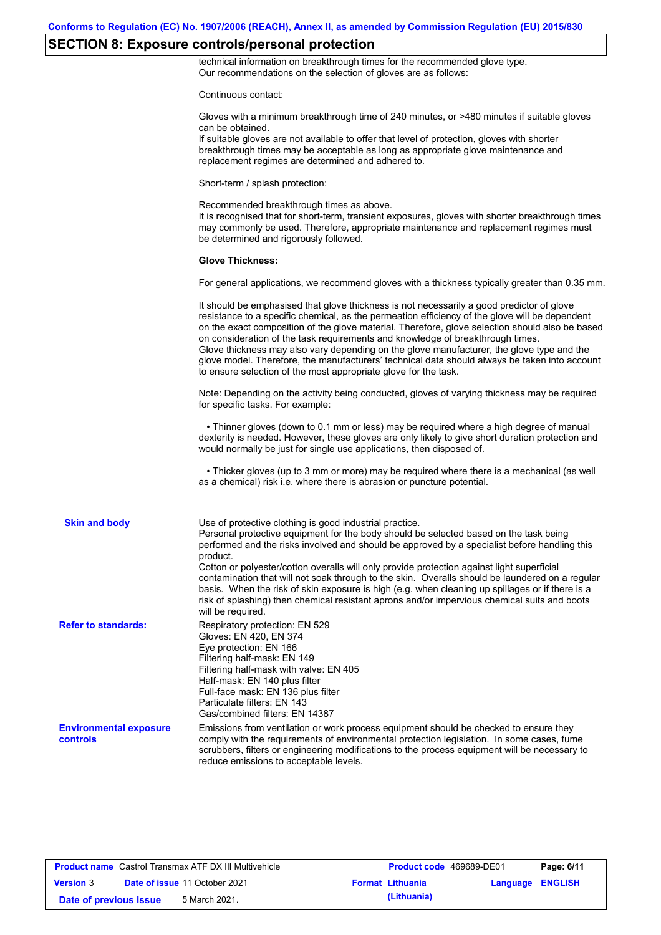### **SECTION 8: Exposure controls/personal protection**

technical information on breakthrough times for the recommended glove type. Our recommendations on the selection of gloves are as follows:

Continuous contact:

|                                                  | Gloves with a minimum breakthrough time of 240 minutes, or >480 minutes if suitable gloves<br>can be obtained.<br>If suitable gloves are not available to offer that level of protection, gloves with shorter<br>breakthrough times may be acceptable as long as appropriate glove maintenance and<br>replacement regimes are determined and adhered to.                                                                                                                                                                                                                                                                                                                              |
|--------------------------------------------------|---------------------------------------------------------------------------------------------------------------------------------------------------------------------------------------------------------------------------------------------------------------------------------------------------------------------------------------------------------------------------------------------------------------------------------------------------------------------------------------------------------------------------------------------------------------------------------------------------------------------------------------------------------------------------------------|
|                                                  | Short-term / splash protection:                                                                                                                                                                                                                                                                                                                                                                                                                                                                                                                                                                                                                                                       |
|                                                  | Recommended breakthrough times as above.<br>It is recognised that for short-term, transient exposures, gloves with shorter breakthrough times<br>may commonly be used. Therefore, appropriate maintenance and replacement regimes must<br>be determined and rigorously followed.                                                                                                                                                                                                                                                                                                                                                                                                      |
|                                                  | <b>Glove Thickness:</b>                                                                                                                                                                                                                                                                                                                                                                                                                                                                                                                                                                                                                                                               |
|                                                  | For general applications, we recommend gloves with a thickness typically greater than 0.35 mm.                                                                                                                                                                                                                                                                                                                                                                                                                                                                                                                                                                                        |
|                                                  | It should be emphasised that glove thickness is not necessarily a good predictor of glove<br>resistance to a specific chemical, as the permeation efficiency of the glove will be dependent<br>on the exact composition of the glove material. Therefore, glove selection should also be based<br>on consideration of the task requirements and knowledge of breakthrough times.<br>Glove thickness may also vary depending on the glove manufacturer, the glove type and the<br>glove model. Therefore, the manufacturers' technical data should always be taken into account<br>to ensure selection of the most appropriate glove for the task.                                     |
|                                                  | Note: Depending on the activity being conducted, gloves of varying thickness may be required<br>for specific tasks. For example:                                                                                                                                                                                                                                                                                                                                                                                                                                                                                                                                                      |
|                                                  | • Thinner gloves (down to 0.1 mm or less) may be required where a high degree of manual<br>dexterity is needed. However, these gloves are only likely to give short duration protection and<br>would normally be just for single use applications, then disposed of.                                                                                                                                                                                                                                                                                                                                                                                                                  |
|                                                  | • Thicker gloves (up to 3 mm or more) may be required where there is a mechanical (as well<br>as a chemical) risk i.e. where there is abrasion or puncture potential.                                                                                                                                                                                                                                                                                                                                                                                                                                                                                                                 |
| <b>Skin and body</b>                             | Use of protective clothing is good industrial practice.<br>Personal protective equipment for the body should be selected based on the task being<br>performed and the risks involved and should be approved by a specialist before handling this<br>product.<br>Cotton or polyester/cotton overalls will only provide protection against light superficial<br>contamination that will not soak through to the skin. Overalls should be laundered on a regular<br>basis. When the risk of skin exposure is high (e.g. when cleaning up spillages or if there is a<br>risk of splashing) then chemical resistant aprons and/or impervious chemical suits and boots<br>will be required. |
| <b>Refer to standards:</b>                       | Respiratory protection: EN 529<br>Gloves: EN 420, EN 374<br>Eye protection: EN 166<br>Filtering half-mask: EN 149<br>Filtering half-mask with valve: EN 405<br>Half-mask: EN 140 plus filter<br>Full-face mask: EN 136 plus filter<br>Particulate filters: EN 143<br>Gas/combined filters: EN 14387                                                                                                                                                                                                                                                                                                                                                                                   |
| <b>Environmental exposure</b><br><b>controls</b> | Emissions from ventilation or work process equipment should be checked to ensure they<br>comply with the requirements of environmental protection legislation. In some cases, fume<br>scrubbers, filters or engineering modifications to the process equipment will be necessary to<br>reduce emissions to acceptable levels.                                                                                                                                                                                                                                                                                                                                                         |
|                                                  |                                                                                                                                                                                                                                                                                                                                                                                                                                                                                                                                                                                                                                                                                       |

**Product name** Castrol Transmax ATF DX III Multivehicle **Product code** 469689-DE01 **Page: 6/11 Version** 3 **Date of issue** 11 October 2021 **Format Lithuania Language ENGLISH Date of previous issue 5** March 2021. **Conservery in the Set of previous issue 5** March 2021.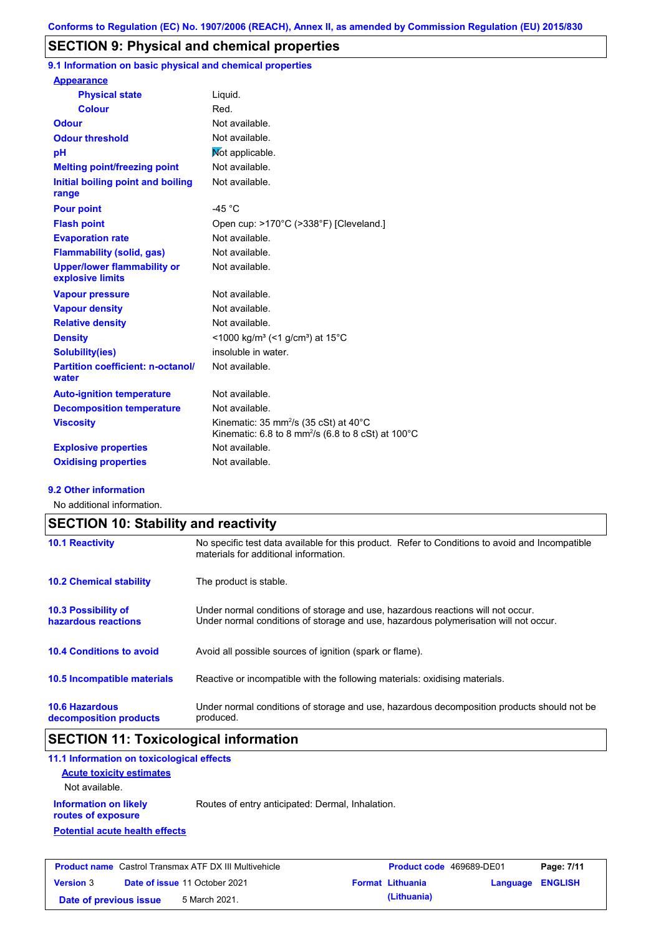### **SECTION 9: Physical and chemical properties**

**9.1 Information on basic physical and chemical properties**

| <b>Appearance</b>                                      |                                                                                                                                         |
|--------------------------------------------------------|-----------------------------------------------------------------------------------------------------------------------------------------|
| <b>Physical state</b>                                  | Liquid.                                                                                                                                 |
| <b>Colour</b>                                          | Red.                                                                                                                                    |
| <b>Odour</b>                                           | Not available.                                                                                                                          |
| <b>Odour threshold</b>                                 | Not available.                                                                                                                          |
| рH                                                     | Not applicable.                                                                                                                         |
| <b>Melting point/freezing point</b>                    | Not available.                                                                                                                          |
| Initial boiling point and boiling<br>range             | Not available.                                                                                                                          |
| <b>Pour point</b>                                      | -45 $^{\circ}$ C                                                                                                                        |
| <b>Flash point</b>                                     | Open cup: >170°C (>338°F) [Cleveland.]                                                                                                  |
| <b>Evaporation rate</b>                                | Not available.                                                                                                                          |
| <b>Flammability (solid, gas)</b>                       | Not available.                                                                                                                          |
| <b>Upper/lower flammability or</b><br>explosive limits | Not available.                                                                                                                          |
| <b>Vapour pressure</b>                                 | Not available.                                                                                                                          |
| <b>Vapour density</b>                                  | Not available.                                                                                                                          |
| <b>Relative density</b>                                | Not available.                                                                                                                          |
| <b>Density</b>                                         | $<$ 1000 kg/m <sup>3</sup> (<1 g/cm <sup>3</sup> ) at 15 <sup>°</sup> C                                                                 |
| <b>Solubility(ies)</b>                                 | insoluble in water.                                                                                                                     |
| <b>Partition coefficient: n-octanol/</b><br>water      | Not available.                                                                                                                          |
| <b>Auto-ignition temperature</b>                       | Not available.                                                                                                                          |
| <b>Decomposition temperature</b>                       | Not available.                                                                                                                          |
| <b>Viscosity</b>                                       | Kinematic: 35 mm <sup>2</sup> /s (35 cSt) at $40^{\circ}$ C<br>Kinematic: 6.8 to 8 mm <sup>2</sup> /s (6.8 to 8 cSt) at $100^{\circ}$ C |
| <b>Explosive properties</b>                            | Not available.                                                                                                                          |
| <b>Oxidising properties</b>                            | Not available.                                                                                                                          |

#### **9.2 Other information**

No additional information.

|                                                 | <b>SECTION 10: Stability and reactivity</b>                                                                                                                             |  |  |  |
|-------------------------------------------------|-------------------------------------------------------------------------------------------------------------------------------------------------------------------------|--|--|--|
| <b>10.1 Reactivity</b>                          | No specific test data available for this product. Refer to Conditions to avoid and Incompatible<br>materials for additional information.                                |  |  |  |
| <b>10.2 Chemical stability</b>                  | The product is stable.                                                                                                                                                  |  |  |  |
| 10.3 Possibility of<br>hazardous reactions      | Under normal conditions of storage and use, hazardous reactions will not occur.<br>Under normal conditions of storage and use, hazardous polymerisation will not occur. |  |  |  |
| <b>10.4 Conditions to avoid</b>                 | Avoid all possible sources of ignition (spark or flame).                                                                                                                |  |  |  |
| <b>10.5 Incompatible materials</b>              | Reactive or incompatible with the following materials: oxidising materials.                                                                                             |  |  |  |
| <b>10.6 Hazardous</b><br>decomposition products | Under normal conditions of storage and use, hazardous decomposition products should not be<br>produced.                                                                 |  |  |  |

# **SECTION 11: Toxicological information**

| 11.1 Information on toxicological effects          |                                                  |
|----------------------------------------------------|--------------------------------------------------|
| <b>Acute toxicity estimates</b>                    |                                                  |
| Not available.                                     |                                                  |
| <b>Information on likely</b><br>routes of exposure | Routes of entry anticipated: Dermal, Inhalation. |
| <b>Potential acute health effects</b>              |                                                  |
|                                                    |                                                  |
|                                                    |                                                  |

| <b>Product name</b> Castrol Transmax ATF DX III Multivehicle |  | <b>Product code</b> 469689-DE01      |  | Page: 7/11              |                         |  |
|--------------------------------------------------------------|--|--------------------------------------|--|-------------------------|-------------------------|--|
| <b>Version 3</b>                                             |  | <b>Date of issue 11 October 2021</b> |  | <b>Format Lithuania</b> | <b>Language ENGLISH</b> |  |
| Date of previous issue                                       |  | 5 March 2021.                        |  | (Lithuania)             |                         |  |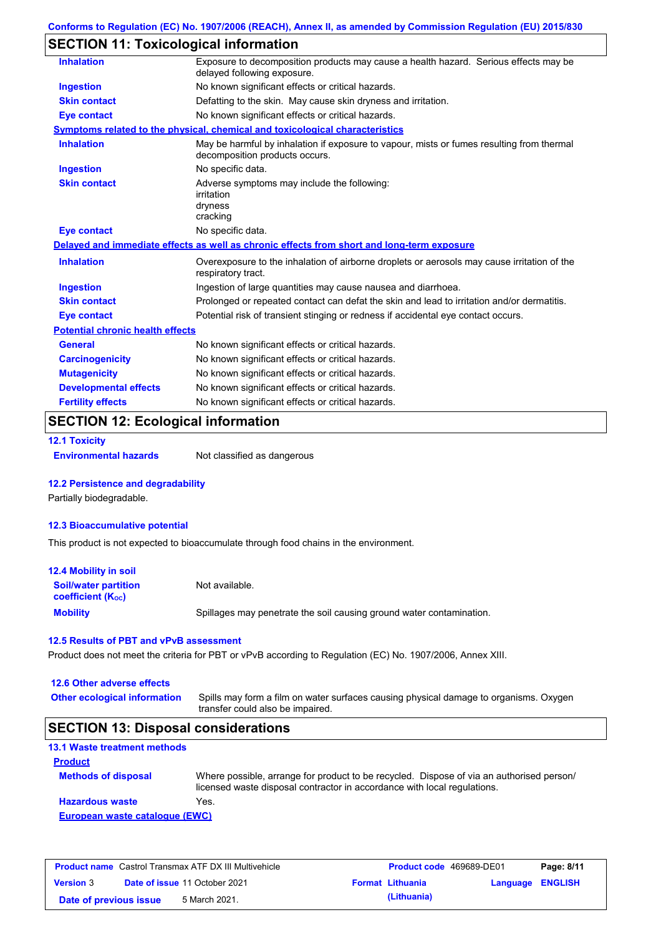# **SECTION 11: Toxicological information**

| <b>Inhalation</b>                       | Exposure to decomposition products may cause a health hazard. Serious effects may be<br>delayed following exposure.         |
|-----------------------------------------|-----------------------------------------------------------------------------------------------------------------------------|
| <b>Ingestion</b>                        | No known significant effects or critical hazards.                                                                           |
| <b>Skin contact</b>                     | Defatting to the skin. May cause skin dryness and irritation.                                                               |
| <b>Eye contact</b>                      | No known significant effects or critical hazards.                                                                           |
|                                         | Symptoms related to the physical, chemical and toxicological characteristics                                                |
| <b>Inhalation</b>                       | May be harmful by inhalation if exposure to vapour, mists or fumes resulting from thermal<br>decomposition products occurs. |
| <b>Ingestion</b>                        | No specific data.                                                                                                           |
| <b>Skin contact</b>                     | Adverse symptoms may include the following:<br>irritation<br>dryness<br>cracking                                            |
| Eye contact                             | No specific data.                                                                                                           |
|                                         | Delayed and immediate effects as well as chronic effects from short and long-term exposure                                  |
| <b>Inhalation</b>                       | Overexposure to the inhalation of airborne droplets or aerosols may cause irritation of the<br>respiratory tract.           |
| <b>Ingestion</b>                        | Ingestion of large quantities may cause nausea and diarrhoea.                                                               |
| <b>Skin contact</b>                     | Prolonged or repeated contact can defat the skin and lead to irritation and/or dermatitis.                                  |
| <b>Eye contact</b>                      | Potential risk of transient stinging or redness if accidental eye contact occurs.                                           |
| <b>Potential chronic health effects</b> |                                                                                                                             |
| <b>General</b>                          | No known significant effects or critical hazards.                                                                           |
| <b>Carcinogenicity</b>                  | No known significant effects or critical hazards.                                                                           |
| <b>Mutagenicity</b>                     | No known significant effects or critical hazards.                                                                           |
| <b>Developmental effects</b>            | No known significant effects or critical hazards.                                                                           |
| <b>Fertility effects</b>                | No known significant effects or critical hazards.                                                                           |
|                                         |                                                                                                                             |

### **SECTION 12: Ecological information**

**12.1 Toxicity**

**Environmental hazards** Not classified as dangerous

### **12.2 Persistence and degradability**

Partially biodegradable.

#### **12.3 Bioaccumulative potential**

This product is not expected to bioaccumulate through food chains in the environment.

| <b>12.4 Mobility in soil</b>                                  |                                                                      |
|---------------------------------------------------------------|----------------------------------------------------------------------|
| <b>Soil/water partition</b><br>coefficient (K <sub>oc</sub> ) | Not available.                                                       |
| <b>Mobility</b>                                               | Spillages may penetrate the soil causing ground water contamination. |

### **12.5 Results of PBT and vPvB assessment**

Product does not meet the criteria for PBT or vPvB according to Regulation (EC) No. 1907/2006, Annex XIII.

#### **12.6 Other adverse effects**

| <b>Other ecological information</b> | Spills may form a film on water surfaces causing physical damage to organisms. Oxygen |
|-------------------------------------|---------------------------------------------------------------------------------------|
|                                     | transfer could also be impaired.                                                      |

### **SECTION 13: Disposal considerations**

| <b>13.1 Waste treatment methods</b> |                                                                                                                                                                      |
|-------------------------------------|----------------------------------------------------------------------------------------------------------------------------------------------------------------------|
| <b>Product</b>                      |                                                                                                                                                                      |
| <b>Methods of disposal</b>          | Where possible, arrange for product to be recycled. Dispose of via an authorised person/<br>licensed waste disposal contractor in accordance with local regulations. |
| <b>Hazardous waste</b>              | Yes.                                                                                                                                                                 |
| European waste catalogue (EWC)      |                                                                                                                                                                      |

| <b>Product name</b> Castrol Transmax ATF DX III Multivehicle |  | <b>Product code</b> 469689-DE01      |  | Page: 8/11              |                  |  |
|--------------------------------------------------------------|--|--------------------------------------|--|-------------------------|------------------|--|
| <b>Version 3</b>                                             |  | <b>Date of issue 11 October 2021</b> |  | <b>Format Lithuania</b> | Language ENGLISH |  |
| Date of previous issue                                       |  | 5 March 2021.                        |  | (Lithuania)             |                  |  |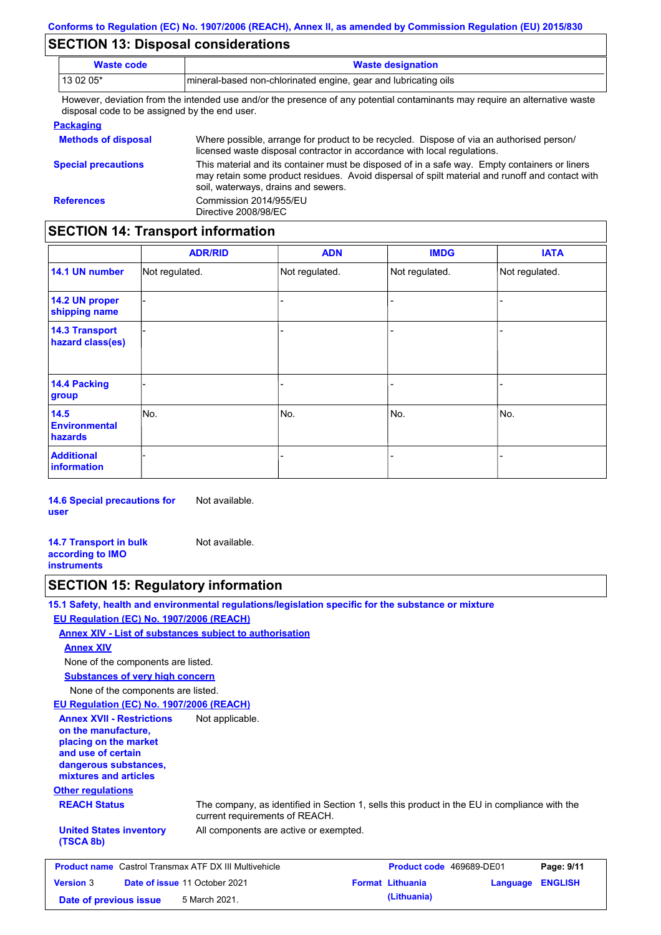### **SECTION 13: Disposal considerations**

| <b>Waste code</b>                                                                                                                                                            | <b>Waste designation</b>                                                                                                                                                                                                                |  |  |  |
|------------------------------------------------------------------------------------------------------------------------------------------------------------------------------|-----------------------------------------------------------------------------------------------------------------------------------------------------------------------------------------------------------------------------------------|--|--|--|
| 13 02 05*                                                                                                                                                                    | mineral-based non-chlorinated engine, gear and lubricating oils                                                                                                                                                                         |  |  |  |
| However, deviation from the intended use and/or the presence of any potential contaminants may require an alternative waste<br>disposal code to be assigned by the end user. |                                                                                                                                                                                                                                         |  |  |  |
| <b>Packaging</b>                                                                                                                                                             |                                                                                                                                                                                                                                         |  |  |  |
| <b>Methods of disposal</b>                                                                                                                                                   | Where possible, arrange for product to be recycled. Dispose of via an authorised person/<br>licensed waste disposal contractor in accordance with local regulations.                                                                    |  |  |  |
| <b>Special precautions</b>                                                                                                                                                   | This material and its container must be disposed of in a safe way. Empty containers or liners<br>may retain some product residues. Avoid dispersal of spilt material and runoff and contact with<br>soil, waterways, drains and sewers. |  |  |  |
| <b>References</b>                                                                                                                                                            | Commission 2014/955/EU<br>Directive 2008/98/EC                                                                                                                                                                                          |  |  |  |

# **SECTION 14: Transport information**

|                                           | <b>ADR/RID</b> | <b>ADN</b>     | <b>IMDG</b>    | <b>IATA</b>    |
|-------------------------------------------|----------------|----------------|----------------|----------------|
| 14.1 UN number                            | Not regulated. | Not regulated. | Not regulated. | Not regulated. |
| 14.2 UN proper<br>shipping name           |                |                |                |                |
| <b>14.3 Transport</b><br>hazard class(es) |                |                | -              |                |
| 14.4 Packing<br>group                     |                |                | ۳              |                |
| 14.5<br><b>Environmental</b><br>hazards   | No.            | No.            | No.            | No.            |
| <b>Additional</b><br>information          |                |                |                |                |

**14.6 Special precautions for user** Not available.

**14.7 Transport in bulk according to IMO instruments** Not available.

# **SECTION 15: Regulatory information**

|                                                                                                                                                          | 15.1 Safety, health and environmental regulations/legislation specific for the substance or mixture                            |                          |          |                |
|----------------------------------------------------------------------------------------------------------------------------------------------------------|--------------------------------------------------------------------------------------------------------------------------------|--------------------------|----------|----------------|
| EU Regulation (EC) No. 1907/2006 (REACH)                                                                                                                 |                                                                                                                                |                          |          |                |
|                                                                                                                                                          | Annex XIV - List of substances subject to authorisation                                                                        |                          |          |                |
| <b>Annex XIV</b>                                                                                                                                         |                                                                                                                                |                          |          |                |
| None of the components are listed.                                                                                                                       |                                                                                                                                |                          |          |                |
| <b>Substances of very high concern</b>                                                                                                                   |                                                                                                                                |                          |          |                |
| None of the components are listed.                                                                                                                       |                                                                                                                                |                          |          |                |
| <b>EU Regulation (EC) No. 1907/2006 (REACH)</b>                                                                                                          |                                                                                                                                |                          |          |                |
| <b>Annex XVII - Restrictions</b><br>on the manufacture,<br>placing on the market<br>and use of certain<br>dangerous substances,<br>mixtures and articles | Not applicable.                                                                                                                |                          |          |                |
| <b>Other regulations</b>                                                                                                                                 |                                                                                                                                |                          |          |                |
| <b>REACH Status</b>                                                                                                                                      | The company, as identified in Section 1, sells this product in the EU in compliance with the<br>current requirements of REACH. |                          |          |                |
| <b>United States inventory</b><br>(TSCA 8b)                                                                                                              | All components are active or exempted.                                                                                         |                          |          |                |
| <b>Product name</b> Castrol Transmax ATF DX III Multivehicle                                                                                             |                                                                                                                                | Product code 469689-DE01 |          | Page: 9/11     |
| <b>Version 3</b>                                                                                                                                         | Date of issue 11 October 2021                                                                                                  | <b>Format Lithuania</b>  | Language | <b>ENGLISH</b> |
| Date of previous issue                                                                                                                                   | 5 March 2021.                                                                                                                  | (Lithuania)              |          |                |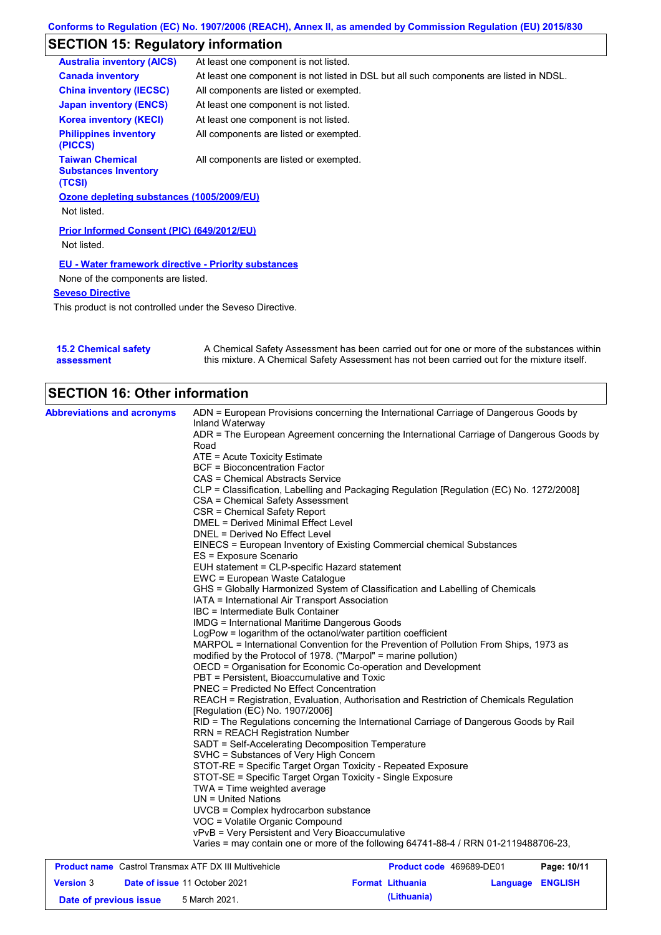# **SECTION 15: Regulatory information**

| <b>Australia inventory (AICS)</b>                               | At least one component is not listed.                                                   |
|-----------------------------------------------------------------|-----------------------------------------------------------------------------------------|
| <b>Canada inventory</b>                                         | At least one component is not listed in DSL but all such components are listed in NDSL. |
| <b>China inventory (IECSC)</b>                                  | All components are listed or exempted.                                                  |
| <b>Japan inventory (ENCS)</b>                                   | At least one component is not listed.                                                   |
| <b>Korea inventory (KECI)</b>                                   | At least one component is not listed.                                                   |
| <b>Philippines inventory</b><br>(PICCS)                         | All components are listed or exempted.                                                  |
| <b>Taiwan Chemical</b><br><b>Substances Inventory</b><br>(TCSI) | All components are listed or exempted.                                                  |
| Ozone depleting substances (1005/2009/EU)<br>Not listed.        |                                                                                         |
| Prior Informed Consent (PIC) (649/2012/EU)<br>Not listed.       |                                                                                         |
| <b>EU - Water framework directive - Priority substances</b>     |                                                                                         |
| None of the components are listed.                              |                                                                                         |
| <b>Seveso Directive</b>                                         |                                                                                         |
| This product is not controlled under the Seveso Directive.      |                                                                                         |
|                                                                 |                                                                                         |

| <b>15.2 Chemical safety</b> | A Chemical Safety Assessment has been carried out for one or more of the substances within  |
|-----------------------------|---------------------------------------------------------------------------------------------|
| assessment                  | this mixture. A Chemical Safety Assessment has not been carried out for the mixture itself. |

## **SECTION 16: Other information**

| <b>Abbreviations and acronyms</b> | ADN = European Provisions concerning the International Carriage of Dangerous Goods by<br>Inland Waterway<br>ADR = The European Agreement concerning the International Carriage of Dangerous Goods by<br>Road<br>ATE = Acute Toxicity Estimate<br><b>BCF</b> = Bioconcentration Factor<br>CAS = Chemical Abstracts Service<br>CLP = Classification, Labelling and Packaging Regulation [Regulation (EC) No. 1272/2008]<br>CSA = Chemical Safety Assessment<br>CSR = Chemical Safety Report<br>DMEL = Derived Minimal Effect Level<br>DNEL = Derived No Effect Level<br>EINECS = European Inventory of Existing Commercial chemical Substances<br>ES = Exposure Scenario<br>EUH statement = CLP-specific Hazard statement<br>EWC = European Waste Catalogue<br>GHS = Globally Harmonized System of Classification and Labelling of Chemicals<br>IATA = International Air Transport Association<br>IBC = Intermediate Bulk Container<br>IMDG = International Maritime Dangerous Goods<br>LogPow = logarithm of the octanol/water partition coefficient<br>MARPOL = International Convention for the Prevention of Pollution From Ships, 1973 as |
|-----------------------------------|----------------------------------------------------------------------------------------------------------------------------------------------------------------------------------------------------------------------------------------------------------------------------------------------------------------------------------------------------------------------------------------------------------------------------------------------------------------------------------------------------------------------------------------------------------------------------------------------------------------------------------------------------------------------------------------------------------------------------------------------------------------------------------------------------------------------------------------------------------------------------------------------------------------------------------------------------------------------------------------------------------------------------------------------------------------------------------------------------------------------------------------------|
|                                   |                                                                                                                                                                                                                                                                                                                                                                                                                                                                                                                                                                                                                                                                                                                                                                                                                                                                                                                                                                                                                                                                                                                                              |
|                                   |                                                                                                                                                                                                                                                                                                                                                                                                                                                                                                                                                                                                                                                                                                                                                                                                                                                                                                                                                                                                                                                                                                                                              |
|                                   |                                                                                                                                                                                                                                                                                                                                                                                                                                                                                                                                                                                                                                                                                                                                                                                                                                                                                                                                                                                                                                                                                                                                              |
|                                   |                                                                                                                                                                                                                                                                                                                                                                                                                                                                                                                                                                                                                                                                                                                                                                                                                                                                                                                                                                                                                                                                                                                                              |
|                                   | modified by the Protocol of 1978. ("Marpol" = marine pollution)                                                                                                                                                                                                                                                                                                                                                                                                                                                                                                                                                                                                                                                                                                                                                                                                                                                                                                                                                                                                                                                                              |
|                                   | OECD = Organisation for Economic Co-operation and Development                                                                                                                                                                                                                                                                                                                                                                                                                                                                                                                                                                                                                                                                                                                                                                                                                                                                                                                                                                                                                                                                                |
|                                   | PBT = Persistent, Bioaccumulative and Toxic                                                                                                                                                                                                                                                                                                                                                                                                                                                                                                                                                                                                                                                                                                                                                                                                                                                                                                                                                                                                                                                                                                  |
|                                   | <b>PNEC = Predicted No Effect Concentration</b>                                                                                                                                                                                                                                                                                                                                                                                                                                                                                                                                                                                                                                                                                                                                                                                                                                                                                                                                                                                                                                                                                              |
|                                   | REACH = Registration, Evaluation, Authorisation and Restriction of Chemicals Regulation                                                                                                                                                                                                                                                                                                                                                                                                                                                                                                                                                                                                                                                                                                                                                                                                                                                                                                                                                                                                                                                      |
|                                   | [Requlation (EC) No. 1907/2006]<br>RID = The Regulations concerning the International Carriage of Dangerous Goods by Rail                                                                                                                                                                                                                                                                                                                                                                                                                                                                                                                                                                                                                                                                                                                                                                                                                                                                                                                                                                                                                    |
|                                   | <b>RRN = REACH Registration Number</b>                                                                                                                                                                                                                                                                                                                                                                                                                                                                                                                                                                                                                                                                                                                                                                                                                                                                                                                                                                                                                                                                                                       |
|                                   | SADT = Self-Accelerating Decomposition Temperature                                                                                                                                                                                                                                                                                                                                                                                                                                                                                                                                                                                                                                                                                                                                                                                                                                                                                                                                                                                                                                                                                           |
|                                   | SVHC = Substances of Very High Concern                                                                                                                                                                                                                                                                                                                                                                                                                                                                                                                                                                                                                                                                                                                                                                                                                                                                                                                                                                                                                                                                                                       |
|                                   | STOT-RE = Specific Target Organ Toxicity - Repeated Exposure                                                                                                                                                                                                                                                                                                                                                                                                                                                                                                                                                                                                                                                                                                                                                                                                                                                                                                                                                                                                                                                                                 |
|                                   | STOT-SE = Specific Target Organ Toxicity - Single Exposure                                                                                                                                                                                                                                                                                                                                                                                                                                                                                                                                                                                                                                                                                                                                                                                                                                                                                                                                                                                                                                                                                   |
|                                   | TWA = Time weighted average<br>$UN = United Nations$                                                                                                                                                                                                                                                                                                                                                                                                                                                                                                                                                                                                                                                                                                                                                                                                                                                                                                                                                                                                                                                                                         |
|                                   | UVCB = Complex hydrocarbon substance                                                                                                                                                                                                                                                                                                                                                                                                                                                                                                                                                                                                                                                                                                                                                                                                                                                                                                                                                                                                                                                                                                         |
|                                   | VOC = Volatile Organic Compound                                                                                                                                                                                                                                                                                                                                                                                                                                                                                                                                                                                                                                                                                                                                                                                                                                                                                                                                                                                                                                                                                                              |
|                                   | vPvB = Very Persistent and Very Bioaccumulative                                                                                                                                                                                                                                                                                                                                                                                                                                                                                                                                                                                                                                                                                                                                                                                                                                                                                                                                                                                                                                                                                              |
|                                   | Varies = may contain one or more of the following 64741-88-4 / RRN 01-2119488706-23,                                                                                                                                                                                                                                                                                                                                                                                                                                                                                                                                                                                                                                                                                                                                                                                                                                                                                                                                                                                                                                                         |
|                                   |                                                                                                                                                                                                                                                                                                                                                                                                                                                                                                                                                                                                                                                                                                                                                                                                                                                                                                                                                                                                                                                                                                                                              |

| <b>Product name</b> Castrol Transmax ATF DX III Multivehicle |  |                                      | <b>Product code</b> 469689-DE01 |                         | Page: 10/11             |  |
|--------------------------------------------------------------|--|--------------------------------------|---------------------------------|-------------------------|-------------------------|--|
| <b>Version 3</b>                                             |  | <b>Date of issue 11 October 2021</b> |                                 | <b>Format Lithuania</b> | <b>Language ENGLISH</b> |  |
| Date of previous issue                                       |  | 5 March 2021.                        |                                 | (Lithuania)             |                         |  |